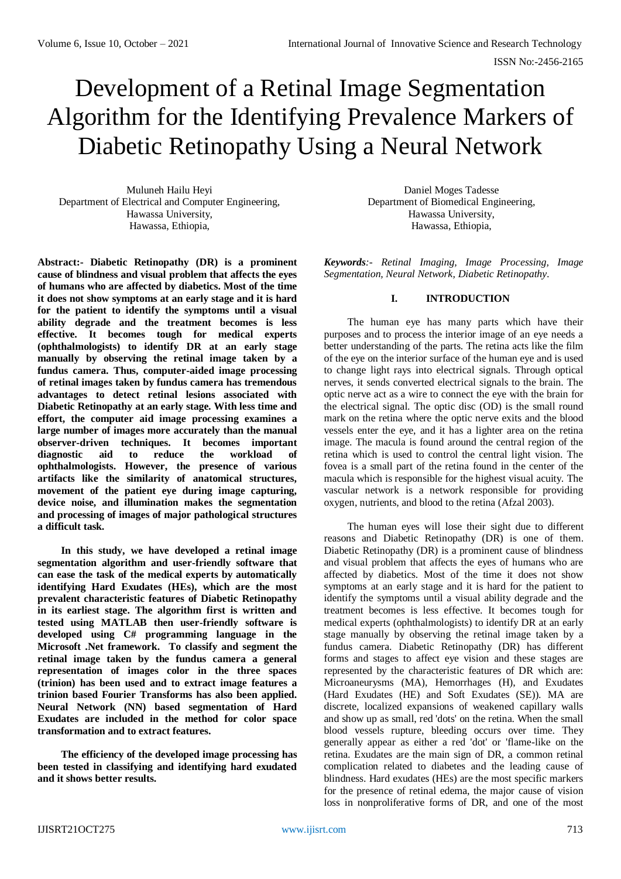# Development of a Retinal Image Segmentation Algorithm for the Identifying Prevalence Markers of Diabetic Retinopathy Using a Neural Network

Muluneh Hailu Heyi Department of Electrical and Computer Engineering, Hawassa University, Hawassa, Ethiopia,

**Abstract:- Diabetic Retinopathy (DR) is a prominent cause of blindness and visual problem that affects the eyes of humans who are affected by diabetics. Most of the time it does not show symptoms at an early stage and it is hard for the patient to identify the symptoms until a visual ability degrade and the treatment becomes is less effective. It becomes tough for medical experts (ophthalmologists) to identify DR at an early stage manually by observing the retinal image taken by a fundus camera. Thus, computer-aided image processing of retinal images taken by fundus camera has tremendous advantages to detect retinal lesions associated with Diabetic Retinopathy at an early stage. With less time and effort, the computer aid image processing examines a large number of images more accurately than the manual observer-driven techniques. It becomes important diagnostic aid to reduce the workload of ophthalmologists. However, the presence of various artifacts like the similarity of anatomical structures, movement of the patient eye during image capturing, device noise, and illumination makes the segmentation and processing of images of major pathological structures a difficult task.** 

**In this study, we have developed a retinal image segmentation algorithm and user-friendly software that can ease the task of the medical experts by automatically identifying Hard Exudates (HEs), which are the most prevalent characteristic features of Diabetic Retinopathy in its earliest stage. The algorithm first is written and tested using MATLAB then user-friendly software is developed using C# programming language in the Microsoft .Net framework. To classify and segment the retinal image taken by the fundus camera a general representation of images color in the three spaces (trinion) has been used and to extract image features a trinion based Fourier Transforms has also been applied. Neural Network (NN) based segmentation of Hard Exudates are included in the method for color space transformation and to extract features.** 

**The efficiency of the developed image processing has been tested in classifying and identifying hard exudated and it shows better results.** 

Daniel Moges Tadesse Department of Biomedical Engineering, Hawassa University, Hawassa, Ethiopia,

*Keywords:- Retinal Imaging, Image Processing, Image Segmentation, Neural Network, Diabetic Retinopathy.*

# **I. INTRODUCTION**

The human eye has many parts which have their purposes and to process the interior image of an eye needs a better understanding of the parts. The retina acts like the film of the eye on the interior surface of the human eye and is used to change light rays into electrical signals. Through optical nerves, it sends converted electrical signals to the brain. The optic nerve act as a wire to connect the eye with the brain for the electrical signal. The optic disc (OD) is the small round mark on the retina where the optic nerve exits and the blood vessels enter the eye, and it has a lighter area on the retina image. The macula is found around the central region of the retina which is used to control the central light vision. The fovea is a small part of the retina found in the center of the macula which is responsible for the highest visual acuity. The vascular network is a network responsible for providing oxygen, nutrients, and blood to the retina (Afzal 2003).

The human eyes will lose their sight due to different reasons and Diabetic Retinopathy (DR) is one of them. Diabetic Retinopathy (DR) is a prominent cause of blindness and visual problem that affects the eyes of humans who are affected by diabetics. Most of the time it does not show symptoms at an early stage and it is hard for the patient to identify the symptoms until a visual ability degrade and the treatment becomes is less effective. It becomes tough for medical experts (ophthalmologists) to identify DR at an early stage manually by observing the retinal image taken by a fundus camera. Diabetic Retinopathy (DR) has different forms and stages to affect eye vision and these stages are represented by the characteristic features of DR which are: Microaneurysms (MA), Hemorrhages (H), and Exudates (Hard Exudates (HE) and Soft Exudates (SE)). MA are discrete, localized expansions of weakened capillary walls and show up as small, red 'dots' on the retina. When the small blood vessels rupture, bleeding occurs over time. They generally appear as either a red 'dot' or 'flame-like on the retina. Exudates are the main sign of DR, a common retinal complication related to diabetes and the leading cause of blindness. Hard exudates (HEs) are the most specific markers for the presence of retinal edema, the major cause of vision loss in nonproliferative forms of DR, and one of the most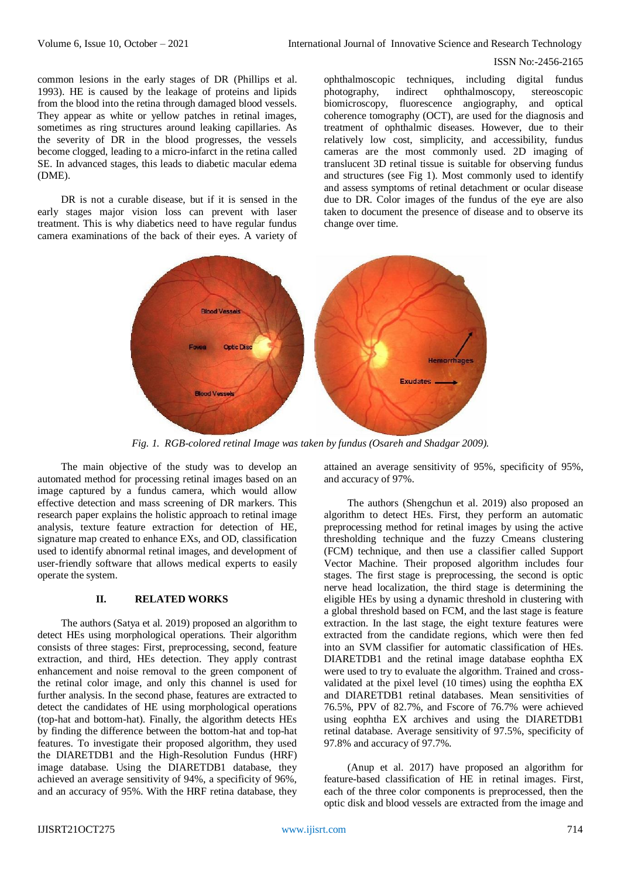common lesions in the early stages of DR (Phillips et al. 1993). HE is caused by the leakage of proteins and lipids from the blood into the retina through damaged blood vessels. They appear as white or yellow patches in retinal images, sometimes as ring structures around leaking capillaries. As the severity of DR in the blood progresses, the vessels become clogged, leading to a micro-infarct in the retina called SE. In advanced stages, this leads to diabetic macular edema (DME).

DR is not a curable disease, but if it is sensed in the early stages major vision loss can prevent with laser treatment. This is why diabetics need to have regular fundus camera examinations of the back of their eyes. A variety of ophthalmoscopic techniques, including digital fundus photography, indirect ophthalmoscopy, stereoscopic biomicroscopy, fluorescence angiography, and optical coherence tomography (OCT), are used for the diagnosis and treatment of ophthalmic diseases. However, due to their relatively low cost, simplicity, and accessibility, fundus cameras are the most commonly used. 2D imaging of translucent 3D retinal tissue is suitable for observing fundus and structures (see Fig 1). Most commonly used to identify and assess symptoms of retinal detachment or ocular disease due to DR. Color images of the fundus of the eye are also taken to document the presence of disease and to observe its change over time.



*Fig. 1. RGB-colored retinal Image was taken by fundus (Osareh and Shadgar 2009).*

The main objective of the study was to develop an automated method for processing retinal images based on an image captured by a fundus camera, which would allow effective detection and mass screening of DR markers. This research paper explains the holistic approach to retinal image analysis, texture feature extraction for detection of HE, signature map created to enhance EXs, and OD, classification used to identify abnormal retinal images, and development of user-friendly software that allows medical experts to easily operate the system.

# **II. RELATED WORKS**

The authors (Satya et al. 2019) proposed an algorithm to detect HEs using morphological operations. Their algorithm consists of three stages: First, preprocessing, second, feature extraction, and third, HEs detection. They apply contrast enhancement and noise removal to the green component of the retinal color image, and only this channel is used for further analysis. In the second phase, features are extracted to detect the candidates of HE using morphological operations (top-hat and bottom-hat). Finally, the algorithm detects HEs by finding the difference between the bottom-hat and top-hat features. To investigate their proposed algorithm, they used the DIARETDB1 and the High-Resolution Fundus (HRF) image database. Using the DIARETDB1 database, they achieved an average sensitivity of 94%, a specificity of 96%, and an accuracy of 95%. With the HRF retina database, they

attained an average sensitivity of 95%, specificity of 95%, and accuracy of 97%.

The authors (Shengchun et al. 2019) also proposed an algorithm to detect HEs. First, they perform an automatic preprocessing method for retinal images by using the active thresholding technique and the fuzzy Cmeans clustering (FCM) technique, and then use a classifier called Support Vector Machine. Their proposed algorithm includes four stages. The first stage is preprocessing, the second is optic nerve head localization, the third stage is determining the eligible HEs by using a dynamic threshold in clustering with a global threshold based on FCM, and the last stage is feature extraction. In the last stage, the eight texture features were extracted from the candidate regions, which were then fed into an SVM classifier for automatic classification of HEs. DIARETDB1 and the retinal image database eophtha EX were used to try to evaluate the algorithm. Trained and crossvalidated at the pixel level (10 times) using the eophtha EX and DIARETDB1 retinal databases. Mean sensitivities of 76.5%, PPV of 82.7%, and Fscore of 76.7% were achieved using eophtha EX archives and using the DIARETDB1 retinal database. Average sensitivity of 97.5%, specificity of 97.8% and accuracy of 97.7%.

(Anup et al. 2017) have proposed an algorithm for feature-based classification of HE in retinal images. First, each of the three color components is preprocessed, then the optic disk and blood vessels are extracted from the image and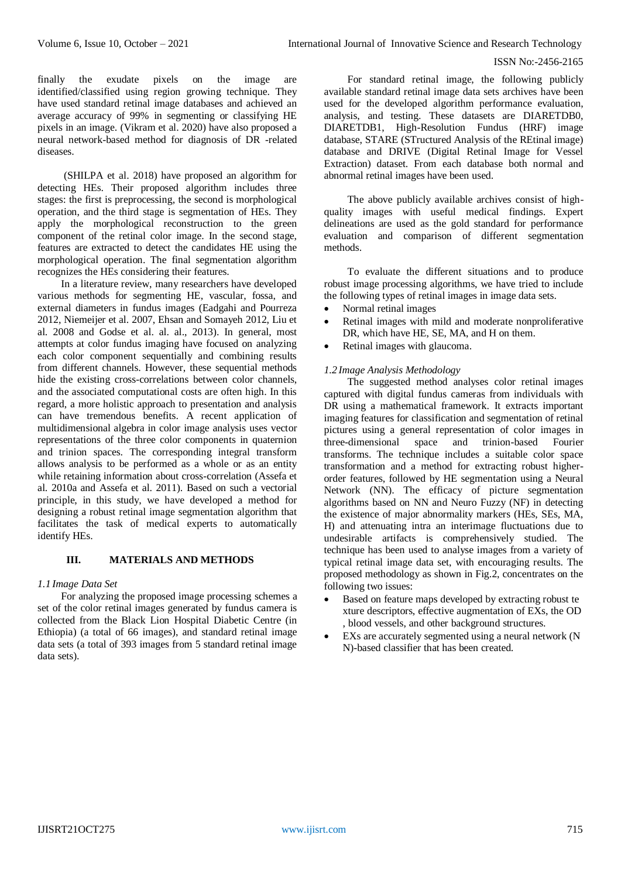finally the exudate pixels on the image are identified/classified using region growing technique. They have used standard retinal image databases and achieved an average accuracy of 99% in segmenting or classifying HE pixels in an image. (Vikram et al. 2020) have also proposed a neural network-based method for diagnosis of DR -related diseases.

(SHILPA et al. 2018) have proposed an algorithm for detecting HEs. Their proposed algorithm includes three stages: the first is preprocessing, the second is morphological operation, and the third stage is segmentation of HEs. They apply the morphological reconstruction to the green component of the retinal color image. In the second stage, features are extracted to detect the candidates HE using the morphological operation. The final segmentation algorithm recognizes the HEs considering their features.

In a literature review, many researchers have developed various methods for segmenting HE, vascular, fossa, and external diameters in fundus images (Eadgahi and Pourreza 2012, Niemeijer et al. 2007, Ehsan and Somayeh 2012, Liu et al. 2008 and Godse et al. al. al., 2013). In general, most attempts at color fundus imaging have focused on analyzing each color component sequentially and combining results from different channels. However, these sequential methods hide the existing cross-correlations between color channels, and the associated computational costs are often high. In this regard, a more holistic approach to presentation and analysis can have tremendous benefits. A recent application of multidimensional algebra in color image analysis uses vector representations of the three color components in quaternion and trinion spaces. The corresponding integral transform allows analysis to be performed as a whole or as an entity while retaining information about cross-correlation (Assefa et al. 2010a and Assefa et al. 2011). Based on such a vectorial principle, in this study, we have developed a method for designing a robust retinal image segmentation algorithm that facilitates the task of medical experts to automatically identify HEs.

# **III. MATERIALS AND METHODS**

# *1.1 Image Data Set*

For analyzing the proposed image processing schemes a set of the color retinal images generated by fundus camera is collected from the Black Lion Hospital Diabetic Centre (in Ethiopia) (a total of 66 images), and standard retinal image data sets (a total of 393 images from 5 standard retinal image data sets).

For standard retinal image, the following publicly available standard retinal image data sets archives have been used for the developed algorithm performance evaluation, analysis, and testing. These datasets are DIARETDB0, DIARETDB1, High-Resolution Fundus (HRF) image database, STARE (STructured Analysis of the REtinal image) database and DRIVE (Digital Retinal Image for Vessel Extraction) dataset. From each database both normal and abnormal retinal images have been used.

The above publicly available archives consist of highquality images with useful medical findings. Expert delineations are used as the gold standard for performance evaluation and comparison of different segmentation methods.

To evaluate the different situations and to produce robust image processing algorithms, we have tried to include the following types of retinal images in image data sets.

- Normal retinal images
- Retinal images with mild and moderate nonproliferative DR, which have HE, SE, MA, and H on them.
- Retinal images with glaucoma.

# *1.2 Image Analysis Methodology*

The suggested method analyses color retinal images captured with digital fundus cameras from individuals with DR using a mathematical framework. It extracts important imaging features for classification and segmentation of retinal pictures using a general representation of color images in three-dimensional space and trinion-based Fourier transforms. The technique includes a suitable color space transformation and a method for extracting robust higherorder features, followed by HE segmentation using a Neural Network (NN). The efficacy of picture segmentation algorithms based on NN and Neuro Fuzzy (NF) in detecting the existence of major abnormality markers (HEs, SEs, MA, H) and attenuating intra an interimage fluctuations due to undesirable artifacts is comprehensively studied. The technique has been used to analyse images from a variety of typical retinal image data set, with encouraging results. The proposed methodology as shown in Fig.2, concentrates on the following two issues:

- Based on feature maps developed by extracting robust te xture descriptors, effective augmentation of EXs, the OD , blood vessels, and other background structures.
- EXs are accurately segmented using a neural network (N N)-based classifier that has been created.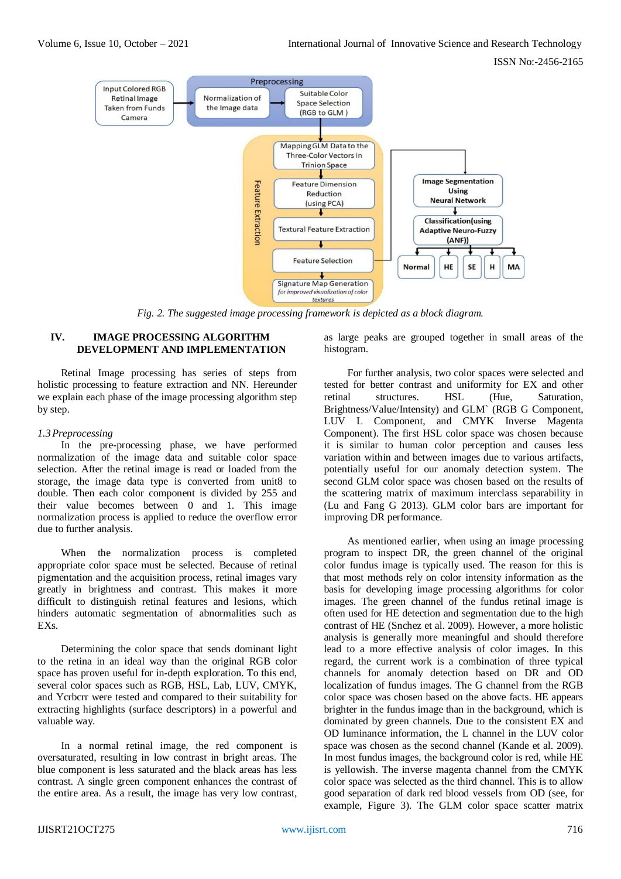

*Fig. 2. The suggested image processing framework is depicted as a block diagram.*

# **IV. IMAGE PROCESSING ALGORITHM DEVELOPMENT AND IMPLEMENTATION**

Retinal Image processing has series of steps from holistic processing to feature extraction and NN. Hereunder we explain each phase of the image processing algorithm step by step.

# *1.3Preprocessing*

In the pre-processing phase, we have performed normalization of the image data and suitable color space selection. After the retinal image is read or loaded from the storage, the image data type is converted from unit8 to double. Then each color component is divided by 255 and their value becomes between 0 and 1. This image normalization process is applied to reduce the overflow error due to further analysis.

When the normalization process is completed appropriate color space must be selected. Because of retinal pigmentation and the acquisition process, retinal images vary greatly in brightness and contrast. This makes it more difficult to distinguish retinal features and lesions, which hinders automatic segmentation of abnormalities such as EXs.

Determining the color space that sends dominant light to the retina in an ideal way than the original RGB color space has proven useful for in-depth exploration. To this end, several color spaces such as RGB, HSL, Lab, LUV, CMYK, and Ycrbcrr were tested and compared to their suitability for extracting highlights (surface descriptors) in a powerful and valuable way.

In a normal retinal image, the red component is oversaturated, resulting in low contrast in bright areas. The blue component is less saturated and the black areas has less contrast. A single green component enhances the contrast of the entire area. As a result, the image has very low contrast,

as large peaks are grouped together in small areas of the histogram.

For further analysis, two color spaces were selected and tested for better contrast and uniformity for EX and other retinal structures. HSL (Hue, Saturation, Brightness/Value/Intensity) and GLM` (RGB G Component, LUV L Component, and CMYK Inverse Magenta Component). The first HSL color space was chosen because it is similar to human color perception and causes less variation within and between images due to various artifacts, potentially useful for our anomaly detection system. The second GLM color space was chosen based on the results of the scattering matrix of maximum interclass separability in (Lu and Fang G 2013). GLM color bars are important for improving DR performance.

As mentioned earlier, when using an image processing program to inspect DR, the green channel of the original color fundus image is typically used. The reason for this is that most methods rely on color intensity information as the basis for developing image processing algorithms for color images. The green channel of the fundus retinal image is often used for HE detection and segmentation due to the high contrast of HE (Snchez et al. 2009). However, a more holistic analysis is generally more meaningful and should therefore lead to a more effective analysis of color images. In this regard, the current work is a combination of three typical channels for anomaly detection based on DR and OD localization of fundus images. The G channel from the RGB color space was chosen based on the above facts. HE appears brighter in the fundus image than in the background, which is dominated by green channels. Due to the consistent EX and OD luminance information, the L channel in the LUV color space was chosen as the second channel (Kande et al. 2009). In most fundus images, the background color is red, while HE is yellowish. The inverse magenta channel from the CMYK color space was selected as the third channel. This is to allow good separation of dark red blood vessels from OD (see, for example, Figure 3). The GLM color space scatter matrix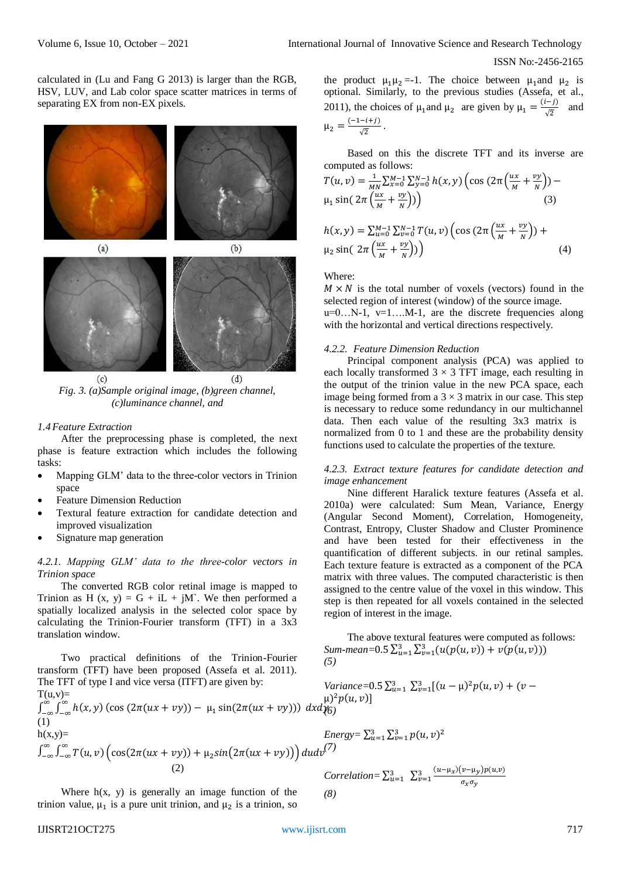calculated in (Lu and Fang G 2013) is larger than the RGB, HSV, LUV, and Lab color space scatter matrices in terms of separating EX from non-EX pixels.



*Fig. 3. (a)Sample original image, (b)green channel, (c)luminance channel, and*

#### *1.4Feature Extraction*

After the preprocessing phase is completed, the next phase is feature extraction which includes the following tasks:

- Mapping GLM' data to the three-color vectors in Trinion space
- Feature Dimension Reduction
- Textural feature extraction for candidate detection and improved visualization
- Signature map generation

## *4.2.1. Mapping GLM' data to the three-color vectors in Trinion space*

The converted RGB color retinal image is mapped to Trinion as H  $(x, y) = G + iL + jM$ . We then performed a spatially localized analysis in the selected color space by calculating the Trinion-Fourier transform (TFT) in a 3x3 translation window.

Two practical definitions of the Trinion-Fourier transform (TFT) have been proposed (Assefa et al. 2011). The TFT of type I and vice versa (ITFT) are given by:  $T(u,v)=$  $\int_{-\infty}^{\infty} \int_{-\infty}^{\infty} h(x, y) (\cos(2\pi(ux + vy)) - \mu_1 \sin(2\pi(ux + vy))) dx dy$ ∞  $\int_{-\infty}^{\infty} \int_{-\infty}^{\infty} h(x, y) (\cos (2\pi(ux + vy)) - \mu_1 \sin(2\pi(ux + vy))) dx dy_0'$ (1)  $h(x,y)=$  $\int_{-\infty}^{\infty}\int_{-\infty}^{\infty}T(u,v)\Big(\cos(2\pi(ux+vy))+\mu_2sin(2\pi(ux+vy))\Big)du dv$ −∞ ∞  $\int_{-\infty}^{\infty} \int_{-\infty}^{\infty} T(u, v) \Big( \cos(2\pi(ux + vy)) + \mu_2 \sin(2\pi(ux + vy)) \Big) du dν^{(7)}$  (2) *(5)*  $\mu$ <sup>2</sup> $p(u, v)$ ]  $v=1$ 3  $u=1$ 

Where  $h(x, y)$  is generally an image function of the trinion value,  $\mu_1$  is a pure unit trinion, and  $\mu_2$  is a trinion, so

the product 
$$
\mu_1 \mu_2 = -1
$$
. The choice between  $\mu_1$  and  $\mu_2$  is  
optional. Similarly, to the previous studies (Assefa, et al.,  
2011), the choices of  $\mu_1$  and  $\mu_2$  are given by  $\mu_1 = \frac{(i-j)}{\sqrt{2}}$  and  
 $\mu_2 = \frac{(-1-i+j)}{\sqrt{2}}$ .

Based on this the discrete TFT and its inverse are computed as follows:

$$
T(u, v) = \frac{1}{MN} \sum_{x=0}^{M-1} \sum_{y=0}^{N-1} h(x, y) \left( \cos \left( 2\pi \left( \frac{ux}{M} + \frac{vy}{N} \right) \right) - \mu_1 \sin \left( 2\pi \left( \frac{ux}{M} + \frac{vy}{N} \right) \right) \right)
$$
  
\n
$$
h(x, y) = \sum_{u=0}^{M-1} \sum_{v=0}^{N-1} T(u, v) \left( \cos \left( 2\pi \left( \frac{ux}{M} + \frac{vy}{N} \right) \right) + \mu_2 \sin \left( 2\pi \left( \frac{ux}{M} + \frac{vy}{N} \right) \right) \right)
$$
  
\n(4)

### Where:

 $M \times N$  is the total number of voxels (vectors) found in the selected region of interest (window) of the source image.  $u=0...N-1$ ,  $v=1...M-1$ , are the discrete frequencies along with the horizontal and vertical directions respectively.

## *4.2.2. Feature Dimension Reduction*

Principal component analysis (PCA) was applied to each locally transformed  $3 \times 3$  TFT image, each resulting in the output of the trinion value in the new PCA space, each image being formed from a  $3 \times 3$  matrix in our case. This step is necessary to reduce some redundancy in our multichannel data. Then each value of the resulting 3x3 matrix is normalized from 0 to 1 and these are the probability density functions used to calculate the properties of the texture.

#### *4.2.3. Extract texture features for candidate detection and image enhancement*

Nine different Haralick texture features (Assefa et al. 2010a) were calculated: Sum Mean, Variance, Energy (Angular Second Moment), Correlation, Homogeneity, Contrast, Entropy, Cluster Shadow and Cluster Prominence and have been tested for their effectiveness in the quantification of different subjects. in our retinal samples. Each texture feature is extracted as a component of the PCA matrix with three values. The computed characteristic is then assigned to the centre value of the voxel in this window. This step is then repeated for all voxels contained in the selected region of interest in the image.

The above textural features were computed as follows:  $Sum-mean = 0.5 \sum_{u=1}^{3} \sum_{v=1}^{3} (u(p(u,v)) + v(p(u,v)))$ 

*Variance*= $0.5\sum_{u=1}^{3}\sum_{v=1}^{3}[(u - \mu)^{2}p(u,v) + (v -$ 

Energy = 
$$
\sum_{u=1}^{3} \sum_{v=1}^{3} p(u, v)^2
$$
 (7)

Correlation=
$$
\sum_{u=1}^{3} \sum_{v=1}^{3} \frac{(u-\mu_x)(v-\mu_y)p(u,v)}{\sigma_x \sigma_y}
$$
  
(8)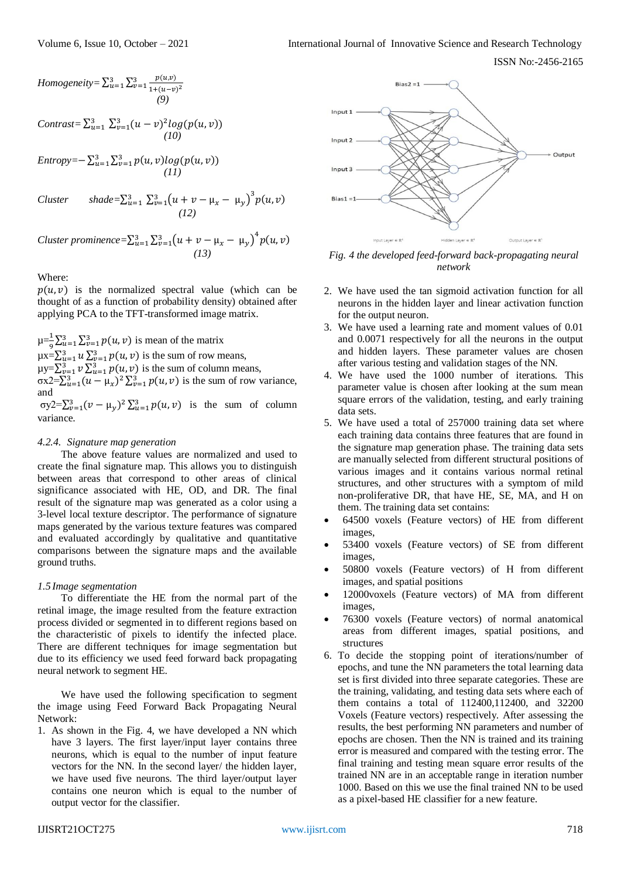ISSN No:-2456-2165

$$
Homogeneity = \sum_{u=1}^{3} \sum_{v=1}^{3} \frac{p(u,v)}{1 + (u-v)^2}
$$
  
(9)

$$
Contrast = \sum_{u=1}^{3} \sum_{v=1}^{3} (u-v)^2 log(p(u,v))
$$
  
(10)

$$
Entropy = -\sum_{u=1}^{3} \sum_{v=1}^{3} p(u, v) log(p(u, v))
$$
  
(11)

*Cluster* shade= $\sum_{u=1}^{3} \sum_{v=1}^{3} (u + v - \mu_x - \mu_y)^3 p(u, v)$ <br>(12)

*Cluster prominence* =  $\sum_{u=1}^{3} \sum_{v=1}^{3} (u + v - \mu_x - \mu_y)^4 p(u, v)$ <br>(13)

Where:

 $p(u, v)$  is the normalized spectral value (which can be thought of as a function of probability density) obtained after applying PCA to the TFT-transformed image matrix.

 $\mu = \frac{1}{2} \sum_{u=1}^{3} \sum_{v=1}^{3} p(u, v)$  is mean of the matrix  $\mu = \sum_{u=1}^{3} u \sum_{v=1}^{3} p(u, v)$  is the sum of row means,  $\mu y = \sum_{\nu=1}^{3} \nu \sum_{u=1}^{3} p(u, v)$  is the sum of column means,  $\sigma x^2 = \sum_{u=1}^3 (u - \mu_x)^2 \sum_{v=1}^3 p(u, v)$  is the sum of row variance, and

σy2= $\sum_{v=1}^{3} (v - \mu_y)^2 \sum_{u=1}^{3} p(u, v)$  is the sum of column variance.

## *4.2.4. Signature map generation*

The above feature values are normalized and used to create the final signature map. This allows you to distinguish between areas that correspond to other areas of clinical significance associated with HE, OD, and DR. The final result of the signature map was generated as a color using a 3-level local texture descriptor. The performance of signature maps generated by the various texture features was compared and evaluated accordingly by qualitative and quantitative comparisons between the signature maps and the available ground truths.

# *1.5 Image segmentation*

To differentiate the HE from the normal part of the retinal image, the image resulted from the feature extraction process divided or segmented in to different regions based on the characteristic of pixels to identify the infected place. There are different techniques for image segmentation but due to its efficiency we used feed forward back propagating neural network to segment HE.

We have used the following specification to segment the image using Feed Forward Back Propagating Neural Network:

1. As shown in the Fig. 4, we have developed a NN which have 3 layers. The first layer/input layer contains three neurons, which is equal to the number of input feature vectors for the NN. In the second layer/ the hidden layer, we have used five neurons. The third layer/output layer contains one neuron which is equal to the number of output vector for the classifier.



*Fig. 4 the developed feed-forward back-propagating neural network*

- 2. We have used the tan sigmoid activation function for all neurons in the hidden layer and linear activation function for the output neuron.
- 3. We have used a learning rate and moment values of 0.01 and 0.0071 respectively for all the neurons in the output and hidden layers. These parameter values are chosen after various testing and validation stages of the NN.
- 4. We have used the 1000 number of iterations. This parameter value is chosen after looking at the sum mean square errors of the validation, testing, and early training data sets.
- 5. We have used a total of 257000 training data set where each training data contains three features that are found in the signature map generation phase. The training data sets are manually selected from different structural positions of various images and it contains various normal retinal structures, and other structures with a symptom of mild non-proliferative DR, that have HE, SE, MA, and H on them. The training data set contains:
- 64500 voxels (Feature vectors) of HE from different images,
- 53400 voxels (Feature vectors) of SE from different images,
- 50800 voxels (Feature vectors) of H from different images, and spatial positions
- 12000voxels (Feature vectors) of MA from different images,
- 76300 voxels (Feature vectors) of normal anatomical areas from different images, spatial positions, and structures
- 6. To decide the stopping point of iterations/number of epochs, and tune the NN parameters the total learning data set is first divided into three separate categories. These are the training, validating, and testing data sets where each of them contains a total of 112400,112400, and 32200 Voxels (Feature vectors) respectively. After assessing the results, the best performing NN parameters and number of epochs are chosen. Then the NN is trained and its training error is measured and compared with the testing error. The final training and testing mean square error results of the trained NN are in an acceptable range in iteration number 1000. Based on this we use the final trained NN to be used as a pixel-based HE classifier for a new feature.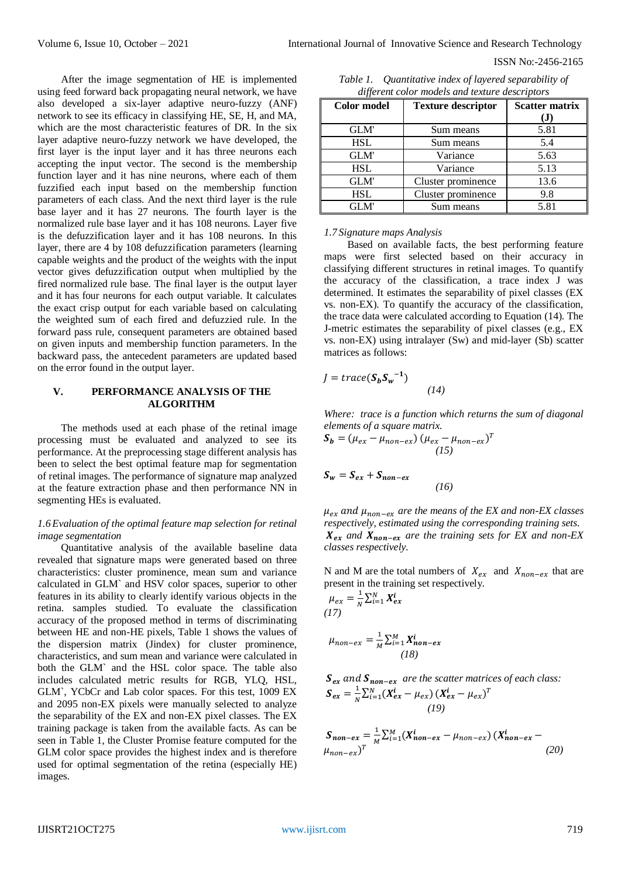ISSN No:-2456-2165

After the image segmentation of HE is implemented using feed forward back propagating neural network, we have also developed a six-layer adaptive neuro-fuzzy (ANF) network to see its efficacy in classifying HE, SE, H, and MA, which are the most characteristic features of DR. In the six layer adaptive neuro-fuzzy network we have developed, the first layer is the input layer and it has three neurons each accepting the input vector. The second is the membership function layer and it has nine neurons, where each of them fuzzified each input based on the membership function parameters of each class. And the next third layer is the rule base layer and it has 27 neurons. The fourth layer is the normalized rule base layer and it has 108 neurons. Layer five is the defuzzification layer and it has 108 neurons. In this layer, there are 4 by 108 defuzzification parameters (learning capable weights and the product of the weights with the input vector gives defuzzification output when multiplied by the fired normalized rule base. The final layer is the output layer and it has four neurons for each output variable. It calculates the exact crisp output for each variable based on calculating the weighted sum of each fired and defuzzied rule. In the forward pass rule, consequent parameters are obtained based on given inputs and membership function parameters. In the backward pass, the antecedent parameters are updated based on the error found in the output layer.

## **V. PERFORMANCE ANALYSIS OF THE ALGORITHM**

The methods used at each phase of the retinal image processing must be evaluated and analyzed to see its performance. At the preprocessing stage different analysis has been to select the best optimal feature map for segmentation of retinal images. The performance of signature map analyzed at the feature extraction phase and then performance NN in segmenting HEs is evaluated.

### *1.6Evaluation of the optimal feature map selection for retinal image segmentation*

Quantitative analysis of the available baseline data revealed that signature maps were generated based on three characteristics: cluster prominence, mean sum and variance calculated in GLM` and HSV color spaces, superior to other features in its ability to clearly identify various objects in the retina. samples studied. To evaluate the classification accuracy of the proposed method in terms of discriminating between HE and non-HE pixels, Table 1 shows the values of the dispersion matrix (Jindex) for cluster prominence, characteristics, and sum mean and variance were calculated in both the GLM` and the HSL color space. The table also includes calculated metric results for RGB, YLQ, HSL, GLM`, YCbCr and Lab color spaces. For this test, 1009 EX and 2095 non-EX pixels were manually selected to analyze the separability of the EX and non-EX pixel classes. The EX training package is taken from the available facts. As can be seen in Table 1, the Cluster Promise feature computed for the GLM color space provides the highest index and is therefore used for optimal segmentation of the retina (especially HE) images.

| Table 1. | Quantitative index of layered separability of  |
|----------|------------------------------------------------|
|          | different color models and texture descriptors |

| <b>Color model</b> | <b>Texture descriptor</b> | <b>Scatter matrix</b><br>(J) |
|--------------------|---------------------------|------------------------------|
| <b>GLM</b>         | Sum means                 | 5.81                         |
| <b>HSL</b>         | Sum means                 | 5.4                          |
| <b>GLM</b>         | Variance                  | 5.63                         |
| <b>HSL</b>         | Variance                  | 5.13                         |
| <b>GLM</b>         | Cluster prominence        | 13.6                         |
| <b>HSL</b>         | Cluster prominence        | 9.8                          |
| GLM'               | Sum means                 | 5.81                         |

### *1.7 Signature maps Analysis*

Based on available facts, the best performing feature maps were first selected based on their accuracy in classifying different structures in retinal images. To quantify the accuracy of the classification, a trace index J was determined. It estimates the separability of pixel classes (EX vs. non-EX). To quantify the accuracy of the classification, the trace data were calculated according to Equation (14). The J-metric estimates the separability of pixel classes (e.g., EX vs. non-EX) using intralayer (Sw) and mid-layer (Sb) scatter matrices as follows:

$$
J = trace(S_b S_w^{-1})
$$
\n(14)

*Where: trace is a function which returns the sum of diagonal elements of a square matrix.*

$$
\mathbf{S_b} = (\mu_{ex} - \mu_{non-ex}) (\mu_{ex} - \mu_{non-ex})^T
$$
  
(15)

$$
S_w = S_{ex} + S_{non-ex}
$$
 (16)

 $\mu_{ex}$  and  $\mu_{non-ex}$  are the means of the EX and non-EX classes *respectively, estimated using the corresponding training sets.*  $X_{ex}$  and  $X_{non-ex}$  are the training sets for EX and non-EX *classes respectively.*

N and M are the total numbers of  $X_{ex}$  and  $X_{non-ex}$  that are present in the training set respectively.

$$
\mu_{ex} = \frac{1}{N} \sum_{i=1}^{N} X_{ex}^{i}
$$
  
(17)

$$
\mu_{non-ex} = \frac{1}{M} \sum_{i=1}^{M} X_{non-ex}^{i}
$$
  
(18)

$$
S_{ex} \text{ and } S_{non-ex} \text{ are the scatter matrices of each class:}
$$
\n
$$
S_{ex} = \frac{1}{N} \sum_{i=1}^{N} (X_{ex}^{i} - \mu_{ex}) (X_{ex}^{i} - \mu_{ex})^{T}
$$
\n
$$
(19)
$$

$$
S_{non-ex} = \frac{1}{M} \sum_{i=1}^{M} (X_{non-ex}^{i} - \mu_{non-ex}) (X_{non-ex}^{i} - \mu_{non-ex})^{T}
$$
 (20)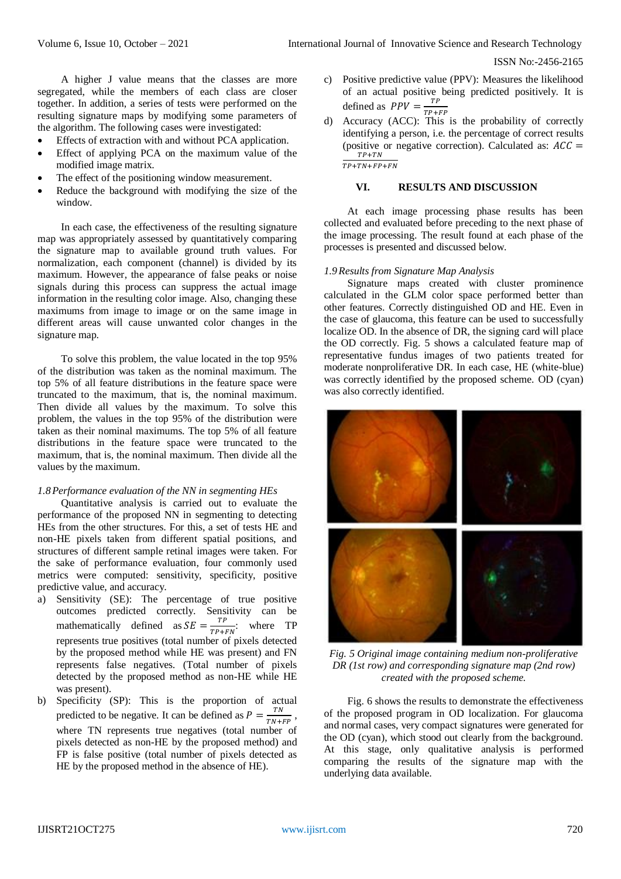A higher J value means that the classes are more segregated, while the members of each class are closer together. In addition, a series of tests were performed on the resulting signature maps by modifying some parameters of the algorithm. The following cases were investigated:

- Effects of extraction with and without PCA application.
- Effect of applying PCA on the maximum value of the modified image matrix.
- The effect of the positioning window measurement.
- Reduce the background with modifying the size of the window.

In each case, the effectiveness of the resulting signature map was appropriately assessed by quantitatively comparing the signature map to available ground truth values. For normalization, each component (channel) is divided by its maximum. However, the appearance of false peaks or noise signals during this process can suppress the actual image information in the resulting color image. Also, changing these maximums from image to image or on the same image in different areas will cause unwanted color changes in the signature map.

To solve this problem, the value located in the top 95% of the distribution was taken as the nominal maximum. The top 5% of all feature distributions in the feature space were truncated to the maximum, that is, the nominal maximum. Then divide all values by the maximum. To solve this problem, the values in the top 95% of the distribution were taken as their nominal maximums. The top 5% of all feature distributions in the feature space were truncated to the maximum, that is, the nominal maximum. Then divide all the values by the maximum.

### *1.8Performance evaluation of the NN in segmenting HEs*

Quantitative analysis is carried out to evaluate the performance of the proposed NN in segmenting to detecting HEs from the other structures. For this, a set of tests HE and non-HE pixels taken from different spatial positions, and structures of different sample retinal images were taken. For the sake of performance evaluation, four commonly used metrics were computed: sensitivity, specificity, positive predictive value, and accuracy.

- a) Sensitivity (SE): The percentage of true positive outcomes predicted correctly. Sensitivity can be mathematically defined as  $SE = \frac{TP}{TP}$  $\frac{1}{TP+FN}$ : where TP represents true positives (total number of pixels detected by the proposed method while HE was present) and FN represents false negatives. (Total number of pixels detected by the proposed method as non-HE while HE was present).
- b) Specificity (SP): This is the proportion of actual predicted to be negative. It can be defined as  $P = \frac{TN}{TN}$  $\frac{1}{TN+FP}$ , where TN represents true negatives (total number of pixels detected as non-HE by the proposed method) and FP is false positive (total number of pixels detected as HE by the proposed method in the absence of HE).
- c) Positive predictive value (PPV): Measures the likelihood of an actual positive being predicted positively. It is defined as  $PPV = \frac{TP}{TP}$  $\frac{11}{TP+FP}$
- d) Accuracy (ACC): This is the probability of correctly identifying a person, i.e. the percentage of correct results (positive or negative correction). Calculated as:  $ACC =$  $TP+TN$  $\frac{1 + 1N}{TP + TN + FP + FN}$

#### **VI. RESULTS AND DISCUSSION**

At each image processing phase results has been collected and evaluated before preceding to the next phase of the image processing. The result found at each phase of the processes is presented and discussed below.

### *1.9Results from Signature Map Analysis*

Signature maps created with cluster prominence calculated in the GLM color space performed better than other features. Correctly distinguished OD and HE. Even in the case of glaucoma, this feature can be used to successfully localize OD. In the absence of DR, the signing card will place the OD correctly. Fig. 5 shows a calculated feature map of representative fundus images of two patients treated for moderate nonproliferative DR. In each case, HE (white-blue) was correctly identified by the proposed scheme. OD (cyan) was also correctly identified.



*Fig. 5 Original image containing medium non-proliferative DR (1st row) and corresponding signature map (2nd row) created with the proposed scheme.*

Fig. 6 shows the results to demonstrate the effectiveness of the proposed program in OD localization. For glaucoma and normal cases, very compact signatures were generated for the OD (cyan), which stood out clearly from the background. At this stage, only qualitative analysis is performed comparing the results of the signature map with the underlying data available.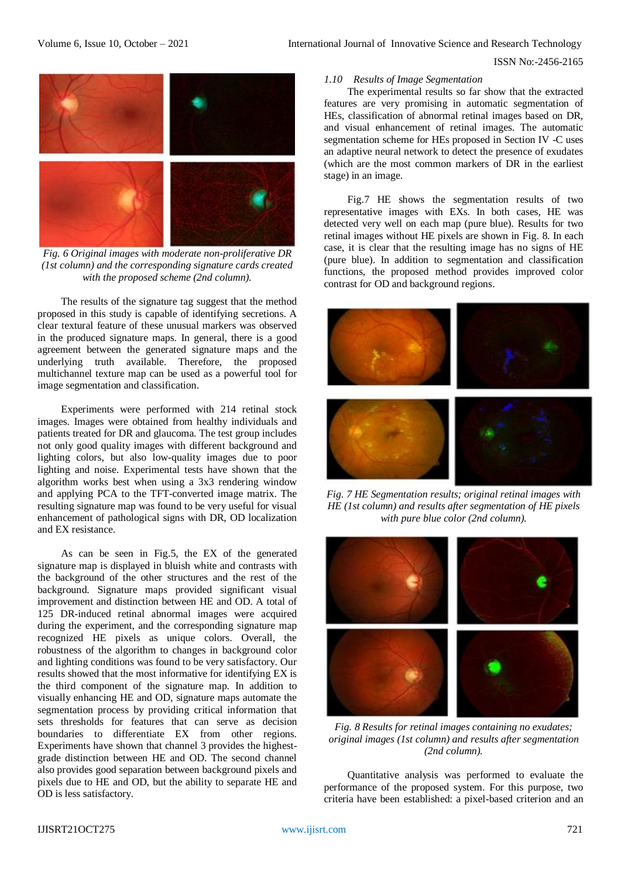

*Fig. 6 Original images with moderate non-proliferative DR (1st column) and the corresponding signature cards created with the proposed scheme (2nd column).*

The results of the signature tag suggest that the method proposed in this study is capable of identifying secretions. A clear textural feature of these unusual markers was observed in the produced signature maps. In general, there is a good agreement between the generated signature maps and the underlying truth available. Therefore, the proposed multichannel texture map can be used as a powerful tool for image segmentation and classification.

Experiments were performed with 214 retinal stock images. Images were obtained from healthy individuals and patients treated for DR and glaucoma. The test group includes not only good quality images with different background and lighting colors, but also low-quality images due to poor lighting and noise. Experimental tests have shown that the algorithm works best when using a 3x3 rendering window and applying PCA to the TFT-converted image matrix. The resulting signature map was found to be very useful for visual enhancement of pathological signs with DR, OD localization and EX resistance.

As can be seen in Fig.5, the EX of the generated signature map is displayed in bluish white and contrasts with the background of the other structures and the rest of the background. Signature maps provided significant visual improvement and distinction between HE and OD. A total of 125 DR-induced retinal abnormal images were acquired during the experiment, and the corresponding signature map recognized HE pixels as unique colors. Overall, the robustness of the algorithm to changes in background color and lighting conditions was found to be very satisfactory. Our results showed that the most informative for identifying EX is the third component of the signature map. In addition to visually enhancing HE and OD, signature maps automate the segmentation process by providing critical information that sets thresholds for features that can serve as decision boundaries to differentiate EX from other regions. Experiments have shown that channel 3 provides the highestgrade distinction between HE and OD. The second channel also provides good separation between background pixels and pixels due to HE and OD, but the ability to separate HE and OD is less satisfactory.

### *1.10 Results of Image Segmentation*

The experimental results so far show that the extracted features are very promising in automatic segmentation of HEs, classification of abnormal retinal images based on DR, and visual enhancement of retinal images. The automatic segmentation scheme for HEs proposed in Section IV -C uses an adaptive neural network to detect the presence of exudates (which are the most common markers of DR in the earliest stage) in an image.

Fig.7 HE shows the segmentation results of two representative images with EXs. In both cases, HE was detected very well on each map (pure blue). Results for two retinal images without HE pixels are shown in Fig. 8. In each case, it is clear that the resulting image has no signs of HE (pure blue). In addition to segmentation and classification functions, the proposed method provides improved color contrast for OD and background regions.



*Fig. 7 HE Segmentation results; original retinal images with HE (1st column) and results after segmentation of HE pixels with pure blue color (2nd column).*



*Fig. 8 Results for retinal images containing no exudates; original images (1st column) and results after segmentation (2nd column).*

Quantitative analysis was performed to evaluate the performance of the proposed system. For this purpose, two criteria have been established: a pixel-based criterion and an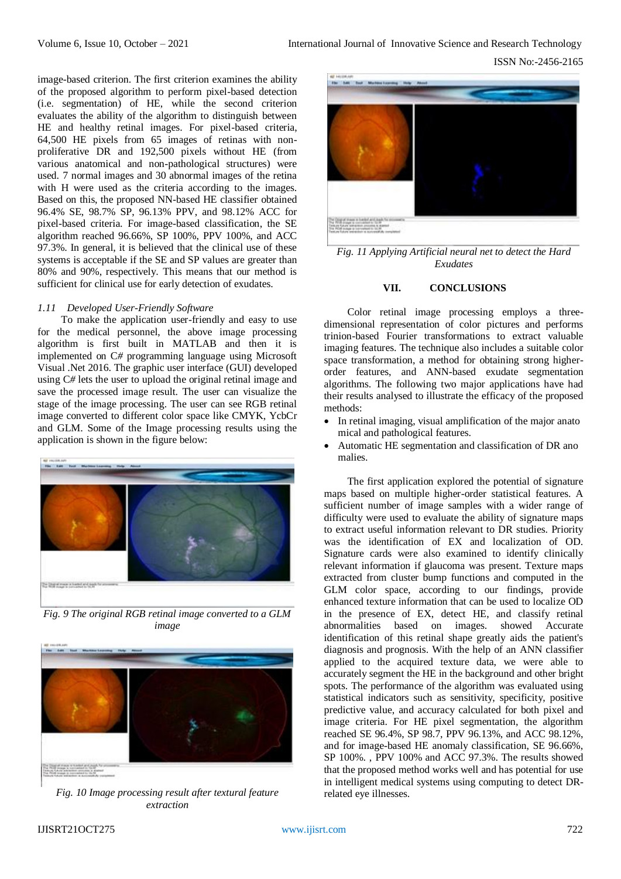image-based criterion. The first criterion examines the ability of the proposed algorithm to perform pixel-based detection (i.e. segmentation) of HE, while the second criterion evaluates the ability of the algorithm to distinguish between HE and healthy retinal images. For pixel-based criteria, 64,500 HE pixels from 65 images of retinas with nonproliferative DR and 192,500 pixels without HE (from various anatomical and non-pathological structures) were used. 7 normal images and 30 abnormal images of the retina with H were used as the criteria according to the images. Based on this, the proposed NN-based HE classifier obtained 96.4% SE, 98.7% SP, 96.13% PPV, and 98.12% ACC for pixel-based criteria. For image-based classification, the SE algorithm reached 96.66%, SP 100%, PPV 100%, and ACC 97.3%. In general, it is believed that the clinical use of these systems is acceptable if the SE and SP values are greater than 80% and 90%, respectively. This means that our method is sufficient for clinical use for early detection of exudates.

## *1.11 Developed User-Friendly Software*

To make the application user-friendly and easy to use for the medical personnel, the above image processing algorithm is first built in MATLAB and then it is implemented on C*#* programming language using Microsoft Visual .Net 2016. The graphic user interface (GUI) developed using C*#* lets the user to upload the original retinal image and save the processed image result. The user can visualize the stage of the image processing. The user can see RGB retinal image converted to different color space like CMYK, YcbCr and GLM. Some of the Image processing results using the application is shown in the figure below:



*Fig. 9 The original RGB retinal image converted to a GLM image*



*Fig. 10 Image processing result after textural feature extraction*



*Fig. 11 Applying Artificial neural net to detect the Hard Exudates*

## **VII. CONCLUSIONS**

Color retinal image processing employs a threedimensional representation of color pictures and performs trinion-based Fourier transformations to extract valuable imaging features. The technique also includes a suitable color space transformation, a method for obtaining strong higherorder features, and ANN-based exudate segmentation algorithms. The following two major applications have had their results analysed to illustrate the efficacy of the proposed methods:

- In retinal imaging, visual amplification of the major anato mical and pathological features.
- Automatic HE segmentation and classification of DR ano malies.

The first application explored the potential of signature maps based on multiple higher-order statistical features. A sufficient number of image samples with a wider range of difficulty were used to evaluate the ability of signature maps to extract useful information relevant to DR studies. Priority was the identification of EX and localization of OD. Signature cards were also examined to identify clinically relevant information if glaucoma was present. Texture maps extracted from cluster bump functions and computed in the GLM color space, according to our findings, provide enhanced texture information that can be used to localize OD in the presence of EX, detect HE, and classify retinal abnormalities based on images. showed Accurate identification of this retinal shape greatly aids the patient's diagnosis and prognosis. With the help of an ANN classifier applied to the acquired texture data, we were able to accurately segment the HE in the background and other bright spots. The performance of the algorithm was evaluated using statistical indicators such as sensitivity, specificity, positive predictive value, and accuracy calculated for both pixel and image criteria. For HE pixel segmentation, the algorithm reached SE 96.4%, SP 98.7, PPV 96.13%, and ACC 98.12%, and for image-based HE anomaly classification, SE 96.66%, SP 100%. , PPV 100% and ACC 97.3%. The results showed that the proposed method works well and has potential for use in intelligent medical systems using computing to detect DRrelated eye illnesses.